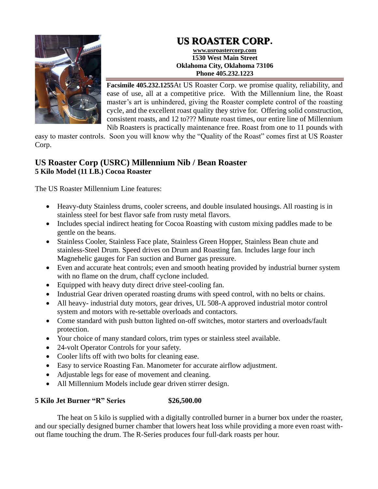# **US ROASTER CORP.**



**www.usroastercorp.com 1530 West Main Street Oklahoma City, Oklahoma 73106 Phone 405.232.1223**

**Facsimile 405.232.1255**At US Roaster Corp. we promise quality, reliability, and ease of use, all at a competitive price. With the Millennium line, the Roast master's art is unhindered, giving the Roaster complete control of the roasting cycle, and the excellent roast quality they strive for. Offering solid construction, consistent roasts, and 12 to??? Minute roast times, our entire line of Millennium Nib Roasters is practically maintenance free. Roast from one to 11 pounds with

easy to master controls. Soon you will know why the "Quality of the Roast" comes first at US Roaster Corp.

## **US Roaster Corp (USRC) Millennium Nib / Bean Roaster 5 Kilo Model (11 LB.) Cocoa Roaster**

The US Roaster Millennium Line features:

- Heavy-duty Stainless drums, cooler screens, and double insulated housings. All roasting is in stainless steel for best flavor safe from rusty metal flavors.
- Includes special indirect heating for Cocoa Roasting with custom mixing paddles made to be gentle on the beans.
- Stainless Cooler, Stainless Face plate, Stainless Green Hopper, Stainless Bean chute and stainless-Steel Drum. Speed drives on Drum and Roasting fan. Includes large four inch Magnehelic gauges for Fan suction and Burner gas pressure.
- Even and accurate heat controls; even and smooth heating provided by industrial burner system with no flame on the drum, chaff cyclone included.
- Equipped with heavy duty direct drive steel-cooling fan.
- Industrial Gear driven operated roasting drums with speed control, with no belts or chains.
- All heavy- industrial duty motors, gear drives, UL 508-A approved industrial motor control system and motors with re-settable overloads and contactors.
- Come standard with push button lighted on-off switches, motor starters and overloads/fault protection.
- Your choice of many standard colors, trim types or stainless steel available.
- 24-volt Operator Controls for your safety.
- Cooler lifts off with two bolts for cleaning ease.
- Easy to service Roasting Fan. Manometer for accurate airflow adjustment.
- Adjustable legs for ease of movement and cleaning.
- All Millennium Models include gear driven stirrer design.

### **5 Kilo Jet Burner "R" Series \$26,500.00**

The heat on 5 kilo is supplied with a digitally controlled burner in a burner box under the roaster, and our specially designed burner chamber that lowers heat loss while providing a more even roast without flame touching the drum. The R-Series produces four full-dark roasts per hour.